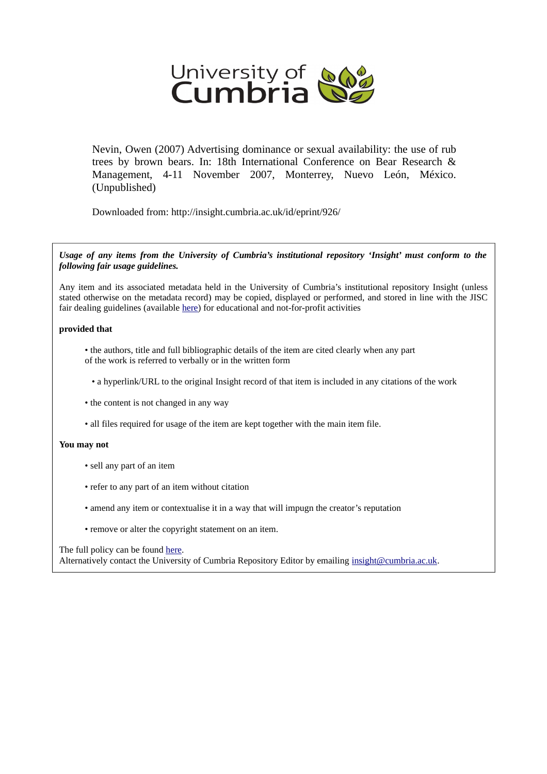

Nevin, Owen (2007) Advertising dominance or sexual availability: the use of rub trees by brown bears. In: 18th International Conference on Bear Research & Management, 4-11 November 2007, Monterrey, Nuevo León, México. (Unpublished)

Downloaded from: http://insight.cumbria.ac.uk/id/eprint/926/

*Usage of any items from the University of Cumbria's institutional repository 'Insight' must conform to the following fair usage guidelines.*

Any item and its associated metadata held in the University of Cumbria's institutional repository Insight (unless stated otherwise on the metadata record) may be copied, displayed or performed, and stored in line with the JISC fair dealing guidelines (available [here\)](http://www.ukoln.ac.uk/services/elib/papers/pa/fair/) for educational and not-for-profit activities

## **provided that**

• the authors, title and full bibliographic details of the item are cited clearly when any part of the work is referred to verbally or in the written form

• a hyperlink/URL to the original Insight record of that item is included in any citations of the work

- the content is not changed in any way
- all files required for usage of the item are kept together with the main item file.

## **You may not**

- sell any part of an item
- refer to any part of an item without citation
- amend any item or contextualise it in a way that will impugn the creator's reputation
- remove or alter the copyright statement on an item.

## The full policy can be found [here.](http://insight.cumbria.ac.uk/legal.html#section5)

Alternatively contact the University of Cumbria Repository Editor by emailing [insight@cumbria.ac.uk.](mailto:insight@cumbria.ac.uk)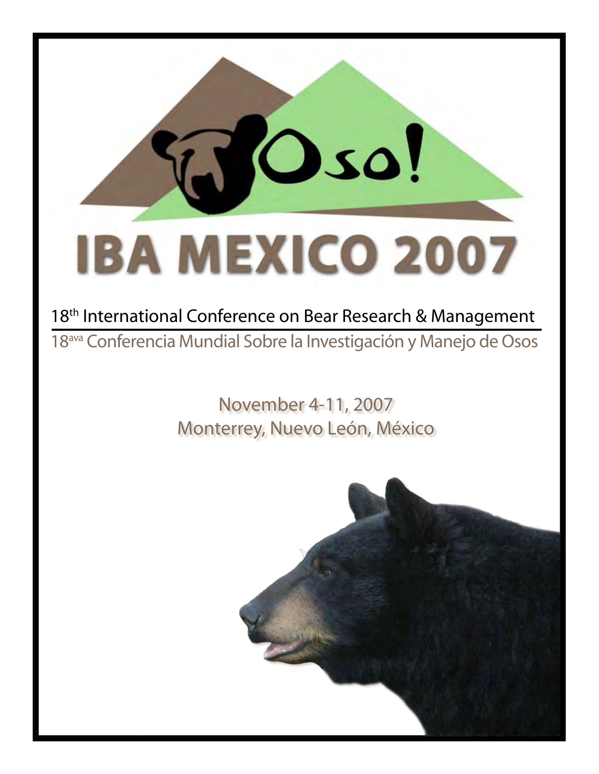# TO so! **IBA MEXICO 2007**

# 18<sup>th</sup> International Conference on Bear Research & Management 18ava Conferencia Mundial Sobre la Investigación y Manejo de Osos

# November 4-11, 2007 Monterrey, Nuevo León, México